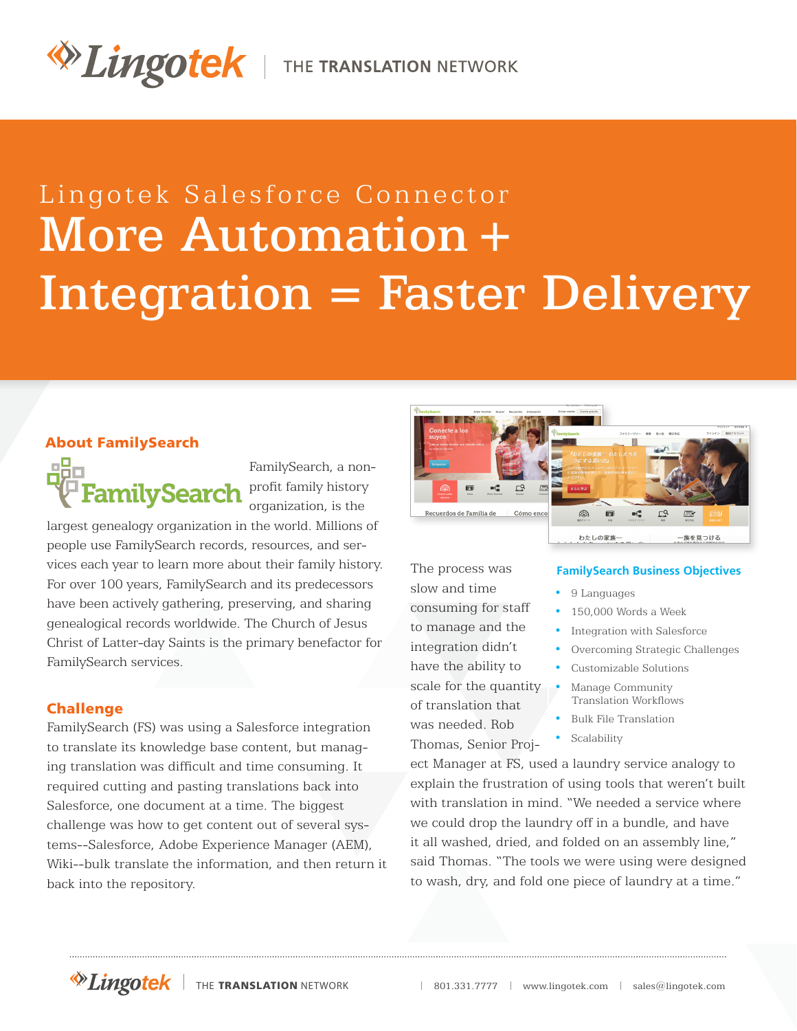# Lingotek Salesforce Connector More Automation **+** Integration **=** Faster Delivery

# About FamilySearch



largest genealogy organization in the world. Millions of people use FamilySearch records, resources, and services each year to learn more about their family history. For over 100 years, FamilySearch and its predecessors have been actively gathering, preserving, and sharing genealogical records worldwide. The Church of Jesus Christ of Latter-day Saints is the primary benefactor for FamilySearch services.

## Challenge

FamilySearch (FS) was using a Salesforce integration to translate its knowledge base content, but managing translation was difficult and time consuming. It required cutting and pasting translations back into Salesforce, one document at a time. The biggest challenge was how to get content out of several systems--Salesforce, Adobe Experience Manager (AEM), Wiki--bulk translate the information, and then return it back into the repository.



The process was slow and time consuming for staff to manage and the integration didn't have the ability to scale for the quantity of translation that was needed. Rob Thomas, Senior Proj-

#### **FamilySearch Business Objectives**

- 9 Languages
- 150,000 Words a Week
- Integration with Salesforce
- Overcoming Strategic Challenges
- Customizable Solutions
- Manage Community Translation Workflows
- Bulk File Translation
- Scalability

ect Manager at FS, used a laundry service analogy to explain the frustration of using tools that weren't built with translation in mind. "We needed a service where we could drop the laundry off in a bundle, and have it all washed, dried, and folded on an assembly line," said Thomas. "The tools we were using were designed to wash, dry, and fold one piece of laundry at a time."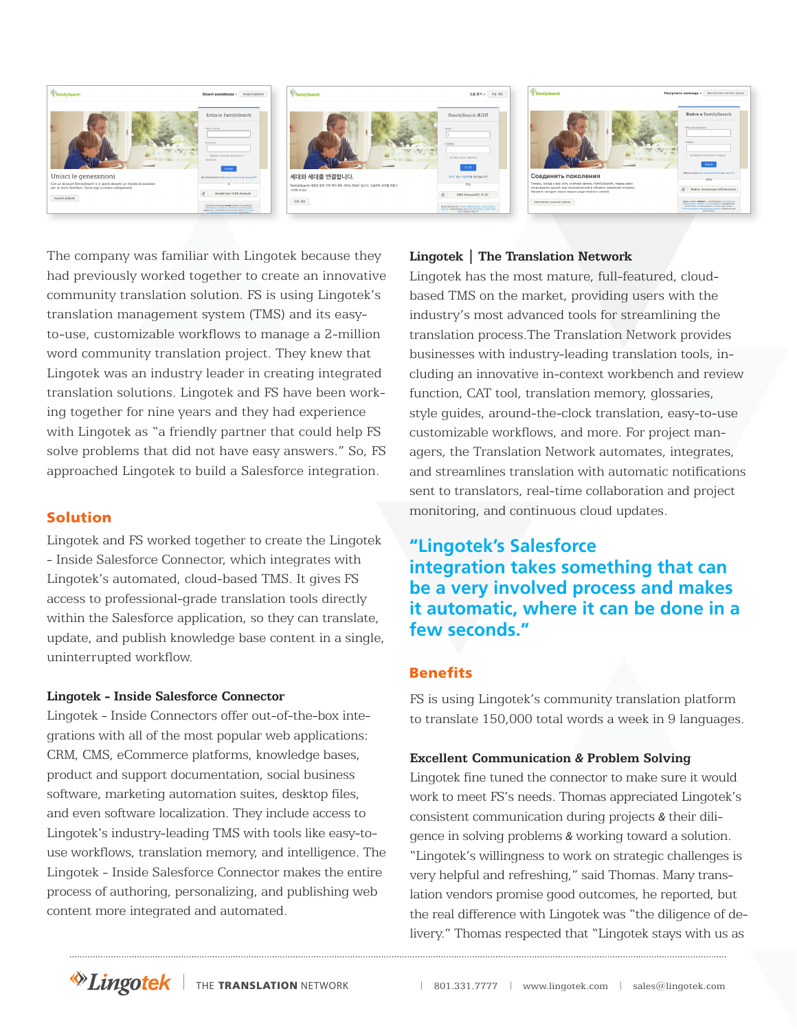

The company was familiar with Lingotek because they had previously worked together to create an innovative community translation solution. FS is using Lingotek's translation management system (TMS) and its easyto-use, customizable workflows to manage a 2-million word community translation project. They knew that Lingotek was an industry leader in creating integrated translation solutions. Lingotek and FS have been working together for nine years and they had experience with Lingotek as "a friendly partner that could help FS solve problems that did not have easy answers." So, FS approached Lingotek to build a Salesforce integration.

#### Solution

Lingotek and FS worked together to create the Lingotek - Inside Salesforce Connector, which integrates with Lingotek's automated, cloud-based TMS. It gives FS access to professional-grade translation tools directly within the Salesforce application, so they can translate, update, and publish knowledge base content in a single, uninterrupted workflow.

#### **Lingotek - Inside Salesforce Connector**

Lingotek - Inside Connectors offer out-of-the-box integrations with all of the most popular web applications: CRM, CMS, eCommerce platforms, knowledge bases, product and support documentation, social business software, marketing automation suites, desktop files, and even software localization. They include access to Lingotek's industry-leading TMS with tools like easy-touse workflows, translation memory, and intelligence. The Lingotek - Inside Salesforce Connector makes the entire process of authoring, personalizing, and publishing web content more integrated and automated.

#### **Lingotek | The Translation Network**

Lingotek has the most mature, full-featured, cloudbased TMS on the market, providing users with the industry's most advanced tools for streamlining the translation process.The Translation Network provides businesses with industry-leading translation tools, including an innovative in-context workbench and review function, CAT tool, translation memory, glossaries, style guides, around-the-clock translation, easy-to-use customizable workflows, and more. For project managers, the Translation Network automates, integrates, and streamlines translation with automatic notifications sent to translators, real-time collaboration and project monitoring, and continuous cloud updates.

# **"Lingotek's Salesforce integration takes something that can be a very involved process and makes it automatic, where it can be done in a few seconds."**

#### Benefits

FS is using Lingotek's community translation platform to translate 150,000 total words a week in 9 languages.

#### **Excellent Communication** *&* **Problem Solving**

Lingotek fine tuned the connector to make sure it would work to meet FS's needs. Thomas appreciated Lingotek's consistent communication during projects *&* their diligence in solving problems *&* working toward a solution. "Lingotek's willingness to work on strategic challenges is very helpful and refreshing," said Thomas. Many translation vendors promise good outcomes, he reported, but the real difference with Lingotek was "the diligence of delivery." Thomas respected that "Lingotek stays with us as